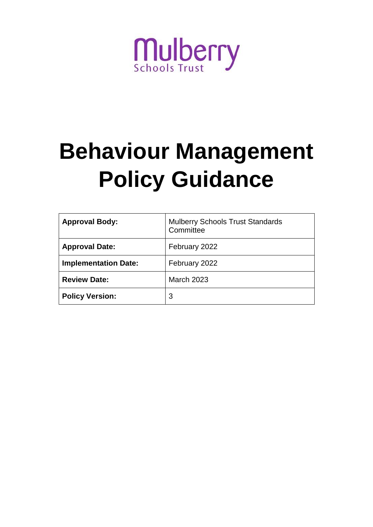

# **Behaviour Management Policy Guidance**

| <b>Approval Body:</b>       | <b>Mulberry Schools Trust Standards</b><br>Committee |
|-----------------------------|------------------------------------------------------|
| <b>Approval Date:</b>       | February 2022                                        |
| <b>Implementation Date:</b> | February 2022                                        |
| <b>Review Date:</b>         | <b>March 2023</b>                                    |
| <b>Policy Version:</b>      | 3                                                    |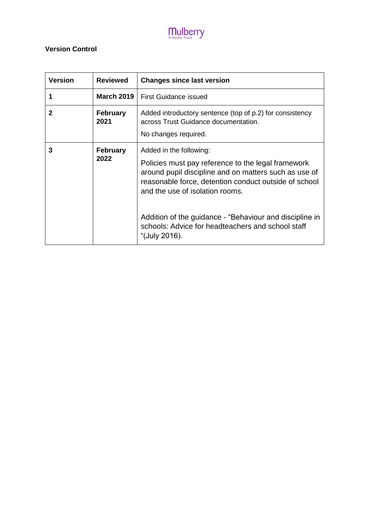#### **Version Control**

| <b>Version</b> | <b>Reviewed</b>         | <b>Changes since last version</b>                                                                                                                                                                                                                                                                                                                  |
|----------------|-------------------------|----------------------------------------------------------------------------------------------------------------------------------------------------------------------------------------------------------------------------------------------------------------------------------------------------------------------------------------------------|
| 1              | <b>March 2019</b>       | <b>First Guidance issued</b>                                                                                                                                                                                                                                                                                                                       |
| 2              | <b>February</b><br>2021 | Added introductory sentence (top of p.2) for consistency<br>across Trust Guidance documentation.<br>No changes required.                                                                                                                                                                                                                           |
| 3              | <b>February</b><br>2022 | Added in the following:<br>Policies must pay reference to the legal framework<br>around pupil discipline and on matters such as use of<br>reasonable force, detention conduct outside of school<br>and the use of isolation rooms.<br>Addition of the guidance - "Behaviour and discipline in<br>schools: Advice for headteachers and school staff |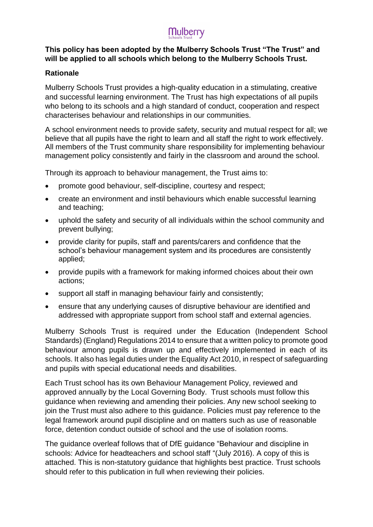#### **This policy has been adopted by the Mulberry Schools Trust "The Trust" and will be applied to all schools which belong to the Mulberry Schools Trust.**

#### **Rationale**

Mulberry Schools Trust provides a high-quality education in a stimulating, creative and successful learning environment. The Trust has high expectations of all pupils who belong to its schools and a high standard of conduct, cooperation and respect characterises behaviour and relationships in our communities.

A school environment needs to provide safety, security and mutual respect for all; we believe that all pupils have the right to learn and all staff the right to work effectively. All members of the Trust community share responsibility for implementing behaviour management policy consistently and fairly in the classroom and around the school.

Through its approach to behaviour management, the Trust aims to:

- promote good behaviour, self-discipline, courtesy and respect;
- create an environment and instil behaviours which enable successful learning and teaching;
- uphold the safety and security of all individuals within the school community and prevent bullying;
- provide clarity for pupils, staff and parents/carers and confidence that the school's behaviour management system and its procedures are consistently applied;
- provide pupils with a framework for making informed choices about their own actions;
- support all staff in managing behaviour fairly and consistently;
- ensure that any underlying causes of disruptive behaviour are identified and addressed with appropriate support from school staff and external agencies.

Mulberry Schools Trust is required under the Education (Independent School Standards) (England) Regulations 2014 to ensure that a written policy to promote good behaviour among pupils is drawn up and effectively implemented in each of its schools. It also has legal duties under the Equality Act 2010, in respect of safeguarding and pupils with special educational needs and disabilities.

Each Trust school has its own Behaviour Management Policy, reviewed and approved annually by the Local Governing Body. Trust schools must follow this guidance when reviewing and amending their policies. Any new school seeking to join the Trust must also adhere to this guidance. Policies must pay reference to the legal framework around pupil discipline and on matters such as use of reasonable force, detention conduct outside of school and the use of isolation rooms.

The guidance overleaf follows that of DfE guidance "Behaviour and discipline in schools: Advice for headteachers and school staff "(July 2016). A copy of this is attached. This is non-statutory guidance that highlights best practice. Trust schools should refer to this publication in full when reviewing their policies.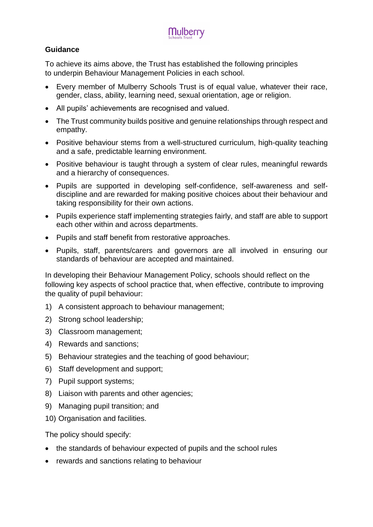#### **Guidance**

To achieve its aims above, the Trust has established the following principles to underpin Behaviour Management Policies in each school.

- Every member of Mulberry Schools Trust is of equal value, whatever their race, gender, class, ability, learning need, sexual orientation, age or religion.
- All pupils' achievements are recognised and valued.
- The Trust community builds positive and genuine relationships through respect and empathy.
- Positive behaviour stems from a well-structured curriculum, high-quality teaching and a safe, predictable learning environment.
- Positive behaviour is taught through a system of clear rules, meaningful rewards and a hierarchy of consequences.
- Pupils are supported in developing self-confidence, self-awareness and selfdiscipline and are rewarded for making positive choices about their behaviour and taking responsibility for their own actions.
- Pupils experience staff implementing strategies fairly, and staff are able to support each other within and across departments.
- Pupils and staff benefit from restorative approaches.
- Pupils, staff, parents/carers and governors are all involved in ensuring our standards of behaviour are accepted and maintained.

In developing their Behaviour Management Policy, schools should reflect on the following key aspects of school practice that, when effective, contribute to improving the quality of pupil behaviour:

- 1) A consistent approach to behaviour management;
- 2) Strong school leadership;
- 3) Classroom management;
- 4) Rewards and sanctions;
- 5) Behaviour strategies and the teaching of good behaviour;
- 6) Staff development and support;
- 7) Pupil support systems;
- 8) Liaison with parents and other agencies;
- 9) Managing pupil transition; and
- 10) Organisation and facilities.

The policy should specify:

- the standards of behaviour expected of pupils and the school rules
- rewards and sanctions relating to behaviour